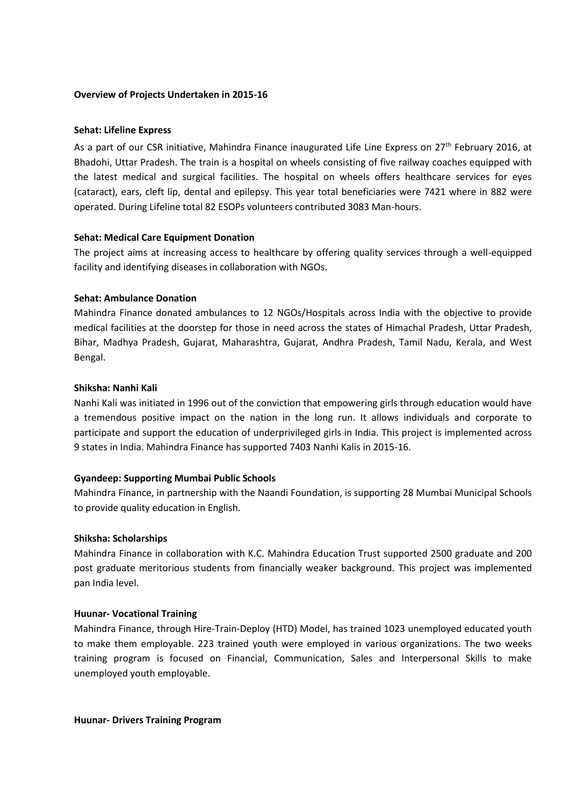## **Overview of Projects Undertaken in 2015-16**

## **Sehat: Lifeline Express**

As a part of our CSR initiative, Mahindra Finance inaugurated Life Line Express on 27<sup>th</sup> February 2016, at Bhadohi, Uttar Pradesh. The train is a hospital on wheels consisting of five railway coaches equipped with the latest medical and surgical facilities. The hospital on wheels offers healthcare services for eyes (cataract), ears, cleft lip, dental and epilepsy. This year total beneficiaries were 7421 where in 882 were operated. During Lifeline total 82 ESOPs volunteers contributed 3083 Man-hours.

## **Sehat: Medical Care Equipment Donation**

The project aims at increasing access to healthcare by offering quality services through a well-equipped facility and identifying diseases in collaboration with NGOs.

## **Sehat: Ambulance Donation**

Mahindra Finance donated ambulances to 12 NGOs/Hospitals across India with the objective to provide medical facilities at the doorstep for those in need across the states of Himachal Pradesh, Uttar Pradesh, Bihar, Madhya Pradesh, Gujarat, Maharashtra, Gujarat, Andhra Pradesh, Tamil Nadu, Kerala, and West Bengal.

## **Shiksha: Nanhi Kali**

Nanhi Kali was initiated in 1996 out of the conviction that empowering girls through education would have a tremendous positive impact on the nation in the long run. It allows individuals and corporate to participate and support the education of underprivileged girls in India. This project is implemented across 9 states in India. Mahindra Finance has supported 7403 Nanhi Kalis in 2015-16.

## **Gyandeep: Supporting Mumbai Public Schools**

Mahindra Finance, in partnership with the Naandi Foundation, is supporting 28 Mumbai Municipal Schools to provide quality education in English.

#### **Shiksha: Scholarships**

Mahindra Finance in collaboration with K.C. Mahindra Education Trust supported 2500 graduate and 200 post graduate meritorious students from financially weaker background. This project was implemented pan India level.

#### **Huunar- Vocational Training**

Mahindra Finance, through Hire-Train-Deploy (HTD) Model, has trained 1023 unemployed educated youth to make them employable. 223 trained youth were employed in various organizations. The two weeks training program is focused on Financial, Communication, Sales and Interpersonal Skills to make unemployed youth employable.

**Huunar- Drivers Training Program**